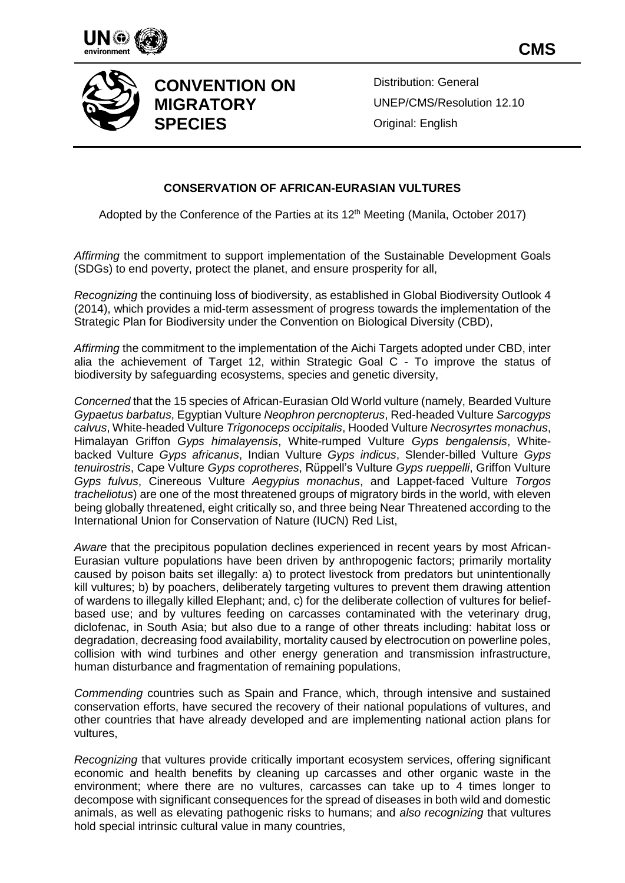





## **CONVENTION ON MIGRATORY SPECIES**

Distribution: General UNEP/CMS/Resolution 12.10 Original: English

## **CONSERVATION OF AFRICAN-EURASIAN VULTURES**

Adopted by the Conference of the Parties at its 12<sup>th</sup> Meeting (Manila, October 2017)

*Affirming* the commitment to support implementation of the Sustainable Development Goals (SDGs) to end poverty, protect the planet, and ensure prosperity for all,

*Recognizing* the continuing loss of biodiversity, as established in Global Biodiversity Outlook 4 (2014), which provides a mid-term assessment of progress towards the implementation of the Strategic Plan for Biodiversity under the Convention on Biological Diversity (CBD),

*Affirming* the commitment to the implementation of the Aichi Targets adopted under CBD, inter alia the achievement of Target 12, within Strategic Goal C - To improve the status of biodiversity by safeguarding ecosystems, species and genetic diversity,

*Concerned* that the 15 species of African-Eurasian Old World vulture (namely, Bearded Vulture *Gypaetus barbatus*, Egyptian Vulture *Neophron percnopterus*, Red-headed Vulture *Sarcogyps calvus*, White-headed Vulture *Trigonoceps occipitalis*, Hooded Vulture *Necrosyrtes monachus*, Himalayan Griffon *Gyps himalayensis*, White-rumped Vulture *Gyps bengalensis*, Whitebacked Vulture *Gyps africanus*, Indian Vulture *Gyps indicus*, Slender-billed Vulture *Gyps tenuirostris*, Cape Vulture *Gyps coprotheres*, Rüppell's Vulture *Gyps rueppelli*, Griffon Vulture *Gyps fulvus*, Cinereous Vulture *Aegypius monachus*, and Lappet-faced Vulture *Torgos tracheliotus*) are one of the most threatened groups of migratory birds in the world, with eleven being globally threatened, eight critically so, and three being Near Threatened according to the International Union for Conservation of Nature (IUCN) Red List,

*Aware* that the precipitous population declines experienced in recent years by most African-Eurasian vulture populations have been driven by anthropogenic factors; primarily mortality caused by poison baits set illegally: a) to protect livestock from predators but unintentionally kill vultures; b) by poachers, deliberately targeting vultures to prevent them drawing attention of wardens to illegally killed Elephant; and, c) for the deliberate collection of vultures for beliefbased use; and by vultures feeding on carcasses contaminated with the veterinary drug, diclofenac, in South Asia; but also due to a range of other threats including: habitat loss or degradation, decreasing food availability, mortality caused by electrocution on powerline poles, collision with wind turbines and other energy generation and transmission infrastructure, human disturbance and fragmentation of remaining populations,

*Commending* countries such as Spain and France, which, through intensive and sustained conservation efforts, have secured the recovery of their national populations of vultures, and other countries that have already developed and are implementing national action plans for vultures,

*Recognizing* that vultures provide critically important ecosystem services, offering significant economic and health benefits by cleaning up carcasses and other organic waste in the environment; where there are no vultures, carcasses can take up to 4 times longer to decompose with significant consequences for the spread of diseases in both wild and domestic animals, as well as elevating pathogenic risks to humans; and *also recognizing* that vultures hold special intrinsic cultural value in many countries,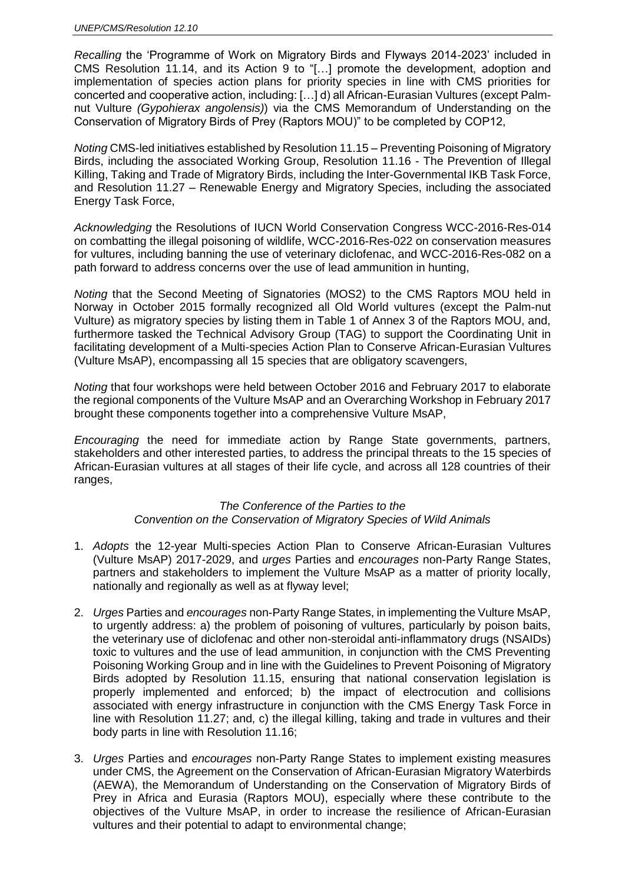*Recalling* the 'Programme of Work on Migratory Birds and Flyways 2014-2023' included in CMS Resolution 11.14, and its Action 9 to "[…] promote the development, adoption and implementation of species action plans for priority species in line with CMS priorities for concerted and cooperative action, including: […] d) all African-Eurasian Vultures (except Palmnut Vulture *(Gypohierax angolensis)*) via the CMS Memorandum of Understanding on the Conservation of Migratory Birds of Prey (Raptors MOU)" to be completed by COP12,

*Noting* CMS-led initiatives established by Resolution 11.15 – Preventing Poisoning of Migratory Birds, including the associated Working Group, Resolution 11.16 - The Prevention of Illegal Killing, Taking and Trade of Migratory Birds, including the Inter-Governmental IKB Task Force, and Resolution 11.27 – Renewable Energy and Migratory Species, including the associated Energy Task Force,

*Acknowledging* the Resolutions of IUCN World Conservation Congress WCC-2016-Res-014 on combatting the illegal poisoning of wildlife, WCC-2016-Res-022 on conservation measures for vultures, including banning the use of veterinary diclofenac, and WCC-2016-Res-082 on a path forward to address concerns over the use of lead ammunition in hunting,

*Noting* that the Second Meeting of Signatories (MOS2) to the CMS Raptors MOU held in Norway in October 2015 formally recognized all Old World vultures (except the Palm-nut Vulture) as migratory species by listing them in Table 1 of Annex 3 of the Raptors MOU, and, furthermore tasked the Technical Advisory Group (TAG) to support the Coordinating Unit in facilitating development of a Multi-species Action Plan to Conserve African-Eurasian Vultures (Vulture MsAP), encompassing all 15 species that are obligatory scavengers,

*Noting* that four workshops were held between October 2016 and February 2017 to elaborate the regional components of the Vulture MsAP and an Overarching Workshop in February 2017 brought these components together into a comprehensive Vulture MsAP,

*Encouraging* the need for immediate action by Range State governments, partners, stakeholders and other interested parties, to address the principal threats to the 15 species of African-Eurasian vultures at all stages of their life cycle, and across all 128 countries of their ranges,

## *The Conference of the Parties to the Convention on the Conservation of Migratory Species of Wild Animals*

- 1. *Adopts* the 12-year Multi-species Action Plan to Conserve African-Eurasian Vultures (Vulture MsAP) 2017-2029, and *urges* Parties and *encourages* non-Party Range States, partners and stakeholders to implement the Vulture MsAP as a matter of priority locally, nationally and regionally as well as at flyway level;
- 2. *Urges* Parties and *encourages* non-Party Range States, in implementing the Vulture MsAP, to urgently address: a) the problem of poisoning of vultures, particularly by poison baits, the veterinary use of diclofenac and other non-steroidal anti-inflammatory drugs (NSAIDs) toxic to vultures and the use of lead ammunition, in conjunction with the CMS Preventing Poisoning Working Group and in line with the Guidelines to Prevent Poisoning of Migratory Birds adopted by Resolution 11.15, ensuring that national conservation legislation is properly implemented and enforced; b) the impact of electrocution and collisions associated with energy infrastructure in conjunction with the CMS Energy Task Force in line with Resolution 11.27; and, c) the illegal killing, taking and trade in vultures and their body parts in line with Resolution 11.16;
- 3. *Urges* Parties and *encourages* non-Party Range States to implement existing measures under CMS, the Agreement on the Conservation of African-Eurasian Migratory Waterbirds (AEWA), the Memorandum of Understanding on the Conservation of Migratory Birds of Prey in Africa and Eurasia (Raptors MOU), especially where these contribute to the objectives of the Vulture MsAP, in order to increase the resilience of African-Eurasian vultures and their potential to adapt to environmental change;